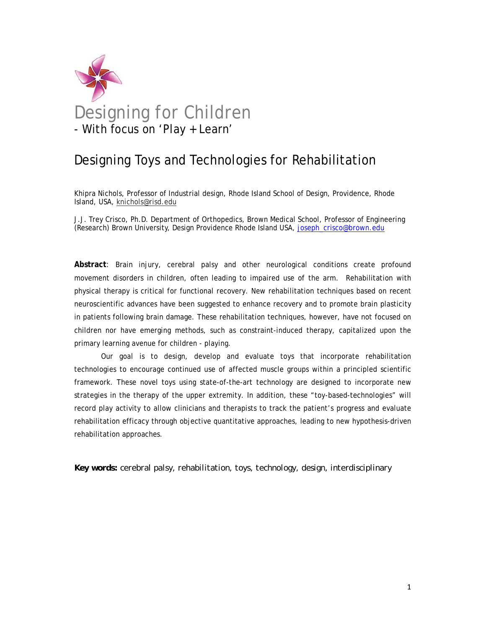

# Designing Toys and Technologies for Rehabilitation

Khipra Nichols, Professor of Industrial design, Rhode Island School of Design, Providence, Rhode Island, USA, knichols@risd.edu

J.J. Trey Crisco, Ph.D. Department of Orthopedics, Brown Medical School, Professor of Engineering (Research) Brown University, Design Providence Rhode Island USA, joseph\_crisco@brown.edu

**Abstract**: Brain injury, cerebral palsy and other neurological conditions create profound movement disorders in children, often leading to impaired use of the arm. Rehabilitation with physical therapy is critical for functional recovery. New rehabilitation techniques based on recent neuroscientific advances have been suggested to enhance recovery and to promote brain plasticity in patients following brain damage. These rehabilitation techniques, however, have not focused on children nor have emerging methods, such as constraint-induced therapy, capitalized upon the primary learning avenue for children - playing.

 Our goal is to design, develop and evaluate toys that incorporate rehabilitation technologies to encourage continued use of affected muscle groups within a principled scientific framework. These novel toys using state-of-the-art technology are designed to incorporate new strategies in the therapy of the upper extremity. In addition, these "toy-based-technologies" will record play activity to allow clinicians and therapists to track the patient's progress and evaluate rehabilitation efficacy through objective quantitative approaches, leading to new hypothesis-driven rehabilitation approaches.

*Key words: cerebral palsy, rehabilitation, toys, technology, design, interdisciplinary*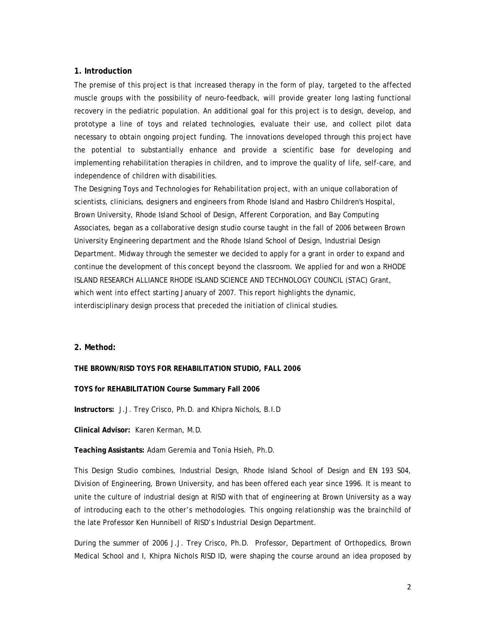#### **1. Introduction**

The premise of this project is that increased therapy in the form of play, targeted to the affected muscle groups with the possibility of neuro-feedback, will provide greater long lasting functional recovery in the pediatric population. An additional goal for this project is to design, develop, and prototype a line of toys and related technologies, evaluate their use, and collect pilot data necessary to obtain ongoing project funding. The innovations developed through this project have the potential to substantially enhance and provide a scientific base for developing and implementing rehabilitation therapies in children, and to improve the quality of life, self-care, and independence of children with disabilities.

The Designing Toys and Technologies for Rehabilitation project, with an unique collaboration of scientists, clinicians, designers and engineers from Rhode Island and Hasbro Children's Hospital, Brown University, Rhode Island School of Design, Afferent Corporation, and Bay Computing Associates, began as a collaborative design studio course taught in the fall of 2006 between Brown University Engineering department and the Rhode Island School of Design, Industrial Design Department. Midway through the semester we decided to apply for a grant in order to expand and continue the development of this concept beyond the classroom. We applied for and won a RHODE ISLAND RESEARCH ALLIANCE RHODE ISLAND SCIENCE AND TECHNOLOGY COUNCIL (STAC) Grant, which went into effect starting January of 2007. This report highlights the dynamic, interdisciplinary design process that preceded the initiation of clinical studies.

#### **2. Method:**

#### **THE BROWN/RISD TOYS FOR REHABILITATION STUDIO, FALL 2006**

#### **TOYS for REHABILITATION Course Summary Fall 2006**

**Instructors:** J.J. Trey Crisco, Ph.D. and Khipra Nichols, B.I.D

**Clinical Advisor:** Karen Kerman, M.D.

#### **Teaching Assistants:** Adam Geremia and Tonia Hsieh, Ph.D.

This Design Studio combines, Industrial Design, Rhode Island School of Design and EN 193 S04, Division of Engineering, Brown University, and has been offered each year since 1996. It is meant to unite the culture of industrial design at RISD with that of engineering at Brown University as a way of introducing each to the other's methodologies. This ongoing relationship was the brainchild of the late Professor Ken Hunnibell of RISD's Industrial Design Department.

During the summer of 2006 J.J. Trey Crisco, Ph.D. Professor, Department of Orthopedics, Brown Medical School and I, Khipra Nichols RISD ID, were shaping the course around an idea proposed by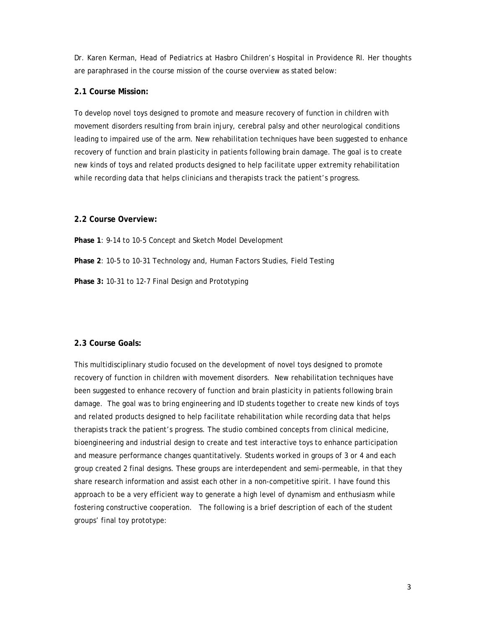Dr. Karen Kerman, Head of Pediatrics at Hasbro Children's Hospital in Providence RI. Her thoughts are paraphrased in the course mission of the course overview as stated below:

### **2.1 Course Mission:**

To develop novel toys designed to promote and measure recovery of function in children with movement disorders resulting from brain injury, cerebral palsy and other neurological conditions leading to impaired use of the arm. New rehabilitation techniques have been suggested to enhance recovery of function and brain plasticity in patients following brain damage. The goal is to create new kinds of toys and related products designed to help facilitate upper extremity rehabilitation while recording data that helps clinicians and therapists track the patient's progress.

#### **2.2 Course Overview:**

**Phase 1**: 9-14 to 10-5 Concept and Sketch Model Development **Phase 2**: 10-5 to 10-31 Technology and, Human Factors Studies, Field Testing **Phase 3:** 10-31 to 12-7 Final Design and Prototyping

#### **2.3 Course Goals:**

This multidisciplinary studio focused on the development of novel toys designed to promote recovery of function in children with movement disorders. New rehabilitation techniques have been suggested to enhance recovery of function and brain plasticity in patients following brain damage. The goal was to bring engineering and ID students together to create new kinds of toys and related products designed to help facilitate rehabilitation while recording data that helps therapists track the patient's progress. The studio combined concepts from clinical medicine, bioengineering and industrial design to create and test interactive toys to enhance participation and measure performance changes quantitatively. Students worked in groups of 3 or 4 and each group created 2 final designs. These groups are interdependent and semi-permeable, in that they share research information and assist each other in a non-competitive spirit. I have found this approach to be a very efficient way to generate a high level of dynamism and enthusiasm while fostering constructive cooperation. The following is a brief description of each of the student groups' final toy prototype: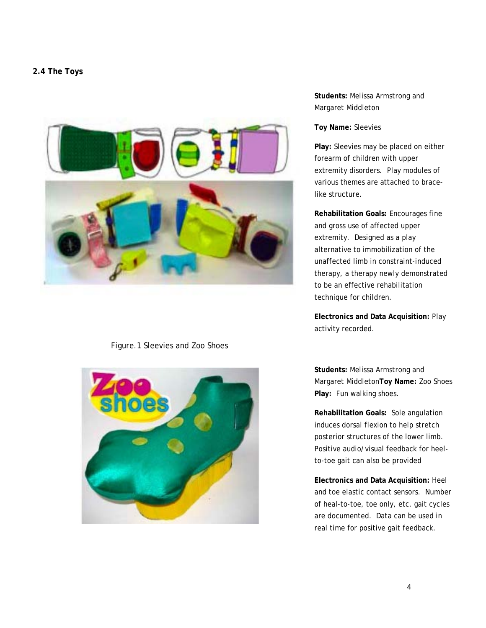## **2.4 The Toys**



# Figure.1 Sleevies and Zoo Shoes



# **Students:** Melissa Armstrong and Margaret Middleton

#### **Toy Name:** Sleevies

**Play:** Sleevies may be placed on either forearm of children with upper extremity disorders. Play modules of various themes are attached to bracelike structure.

**Rehabilitation Goals:** Encourages fine and gross use of affected upper extremity. Designed as a play alternative to immobilization of the unaffected limb in constraint-induced therapy, a therapy newly demonstrated to be an effective rehabilitation technique for children.

**Electronics and Data Acquisition:** Play activity recorded.

**Students:** Melissa Armstrong and Margaret Middleton**Toy Name:** Zoo Shoes **Play:** Fun walking shoes.

**Rehabilitation Goals:** Sole angulation induces dorsal flexion to help stretch posterior structures of the lower limb. Positive audio/visual feedback for heelto-toe gait can also be provided

**Electronics and Data Acquisition:** Heel and toe elastic contact sensors. Number of heal-to-toe, toe only, etc. gait cycles are documented. Data can be used in real time for positive gait feedback.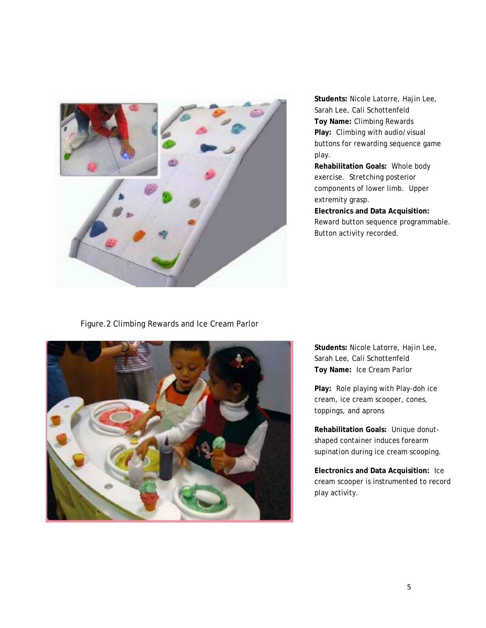

**Students:** Nicole Latorre, Hajin Lee, Sarah Lee, Cali Schottenfeld **Toy Name:** Climbing Rewards **Play:** Climbing with audio/visual buttons for rewarding sequence game play.

**Rehabilitation Goals:** Whole body exercise. Stretching posterior components of lower limb. Upper extremity grasp.

**Electronics and Data Acquisition:**  Reward button sequence programmable. Button activity recorded.

Figure.2 Climbing Rewards and Ice Cream Parlor



**Students:** Nicole Latorre, Hajin Lee, Sarah Lee, Cali Schottenfeld **Toy Name:** Ice Cream Parlor

**Play:** Role playing with Play-doh ice cream, ice cream scooper, cones, toppings, and aprons

**Rehabilitation Goals:** Unique donutshaped container induces forearm supination during ice cream scooping.

**Electronics and Data Acquisition:** Ice cream scooper is instrumented to record play activity.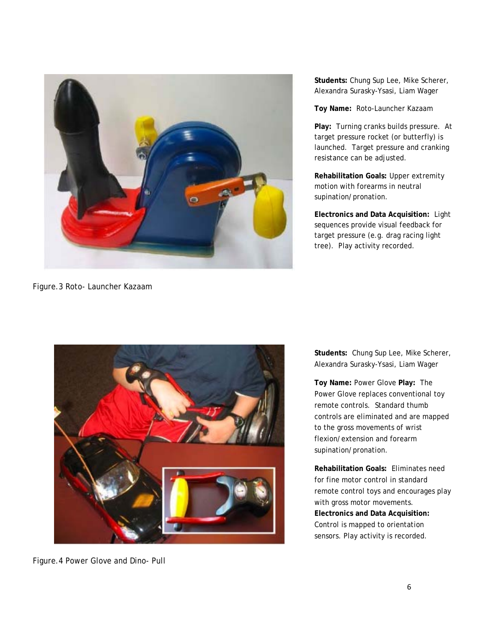

Figure.3 Roto- Launcher Kazaam

**Students:** Chung Sup Lee, Mike Scherer, Alexandra Surasky-Ysasi, Liam Wager

**Toy Name:** Roto-Launcher Kazaam

**Play:** Turning cranks builds pressure. At target pressure rocket (or butterfly) is launched. Target pressure and cranking resistance can be adjusted.

**Rehabilitation Goals:** Upper extremity motion with forearms in neutral supination/pronation.

**Electronics and Data Acquisition:** Light sequences provide visual feedback for target pressure (e.g. drag racing light tree). Play activity recorded.



Figure.4 Power Glove and Dino- Pull

**Students:** Chung Sup Lee, Mike Scherer, Alexandra Surasky-Ysasi, Liam Wager

**Toy Name:** Power Glove **Play:** The Power Glove replaces conventional toy remote controls. Standard thumb controls are eliminated and are mapped to the gross movements of wrist flexion/extension and forearm supination/pronation.

**Rehabilitation Goals:** Eliminates need for fine motor control in standard remote control toys and encourages play with gross motor movements. **Electronics and Data Acquisition:**  Control is mapped to orientation sensors. Play activity is recorded.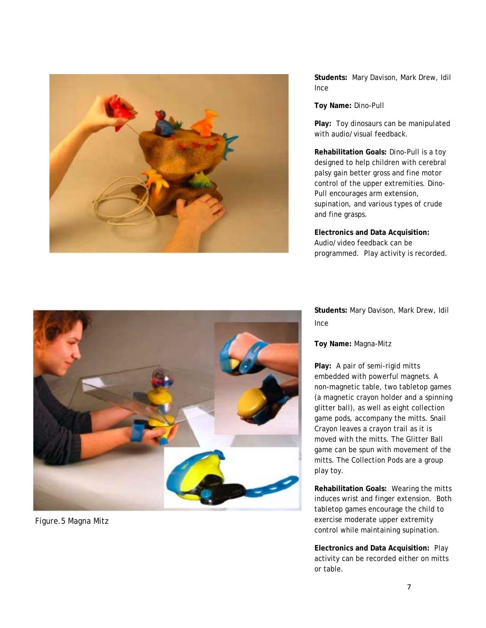

**Students:** Mary Davison, Mark Drew, Idil Ince

**Toy Name:** Dino-Pull

**Play:** Toy dinosaurs can be manipulated with audio/visual feedback.

**Rehabilitation Goals:** Dino-Pull is a toy designed to help children with cerebral palsy gain better gross and fine motor control of the upper extremities. Dino-Pull encourages arm extension, supination, and various types of crude and fine grasps.

**Electronics and Data Acquisition:**  Audio/video feedback can be programmed. Play activity is recorded.

**Students:** Mary Davison, Mark Drew, Idil Ince

**Toy Name:** Magna-Mitz

**Play:** A pair of semi-rigid mitts embedded with powerful magnets. A non-magnetic table, two tabletop games (a magnetic crayon holder and a spinning glitter ball), as well as eight collection game pods, accompany the mitts. Snail Crayon leaves a crayon trail as it is moved with the mitts. The Glitter Ball game can be spun with movement of the mitts. The Collection Pods are a group play toy.

**Rehabilitation Goals:** Wearing the mitts induces wrist and finger extension. Both tabletop games encourage the child to exercise moderate upper extremity control while maintaining supination.

**Electronics and Data Acquisition:** Play activity can be recorded either on mitts or table.



Figure.5 Magna Mitz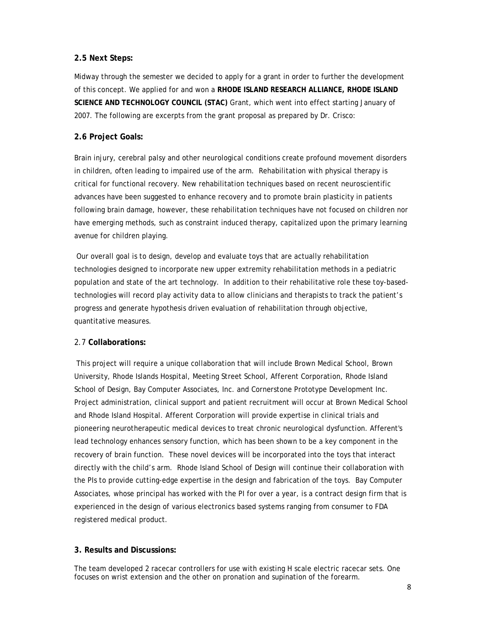# **2.5 Next Steps:**

Midway through the semester we decided to apply for a grant in order to further the development of this concept. We applied for and won a **RHODE ISLAND RESEARCH ALLIANCE, RHODE ISLAND SCIENCE AND TECHNOLOGY COUNCIL (STAC)** Grant, which went into effect starting January of 2007. The following are excerpts from the grant proposal as prepared by Dr. Crisco:

# **2.6 Project Goals:**

Brain injury, cerebral palsy and other neurological conditions create profound movement disorders in children, often leading to impaired use of the arm. Rehabilitation with physical therapy is critical for functional recovery. New rehabilitation techniques based on recent neuroscientific advances have been suggested to enhance recovery and to promote brain plasticity in patients following brain damage, however, these rehabilitation techniques have not focused on children nor have emerging methods, such as constraint induced therapy, capitalized upon the primary learning avenue for children playing.

 Our overall goal is to design, develop and evaluate toys that are actually rehabilitation technologies designed to incorporate new upper extremity rehabilitation methods in a pediatric population and state of the art technology. In addition to their rehabilitative role these toy-basedtechnologies will record play activity data to allow clinicians and therapists to track the patient's progress and generate hypothesis driven evaluation of rehabilitation through objective, quantitative measures.

## 2.7 **Collaborations:**

 This project will require a unique collaboration that will include Brown Medical School, Brown University, Rhode Islands Hospital, Meeting Street School, Afferent Corporation, Rhode Island School of Design, Bay Computer Associates, Inc. and Cornerstone Prototype Development Inc. Project administration, clinical support and patient recruitment will occur at Brown Medical School and Rhode Island Hospital. Afferent Corporation will provide expertise in clinical trials and pioneering neurotherapeutic medical devices to treat chronic neurological dysfunction. Afferent's lead technology enhances sensory function, which has been shown to be a key component in the recovery of brain function. These novel devices will be incorporated into the toys that interact directly with the child's arm. Rhode Island School of Design will continue their collaboration with the PIs to provide cutting-edge expertise in the design and fabrication of the toys. Bay Computer Associates, whose principal has worked with the PI for over a year, is a contract design firm that is experienced in the design of various electronics based systems ranging from consumer to FDA registered medical product.

# **3. Results and Discussions:**

The team developed 2 racecar controllers for use with existing H scale electric racecar sets. One focuses on wrist extension and the other on pronation and supination of the forearm.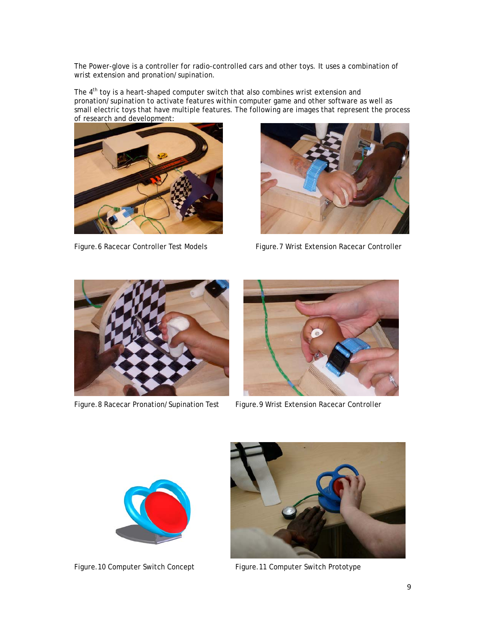The Power-glove is a controller for radio-controlled cars and other toys. It uses a combination of wrist extension and pronation/supination.

The 4<sup>th</sup> toy is a heart-shaped computer switch that also combines wrist extension and pronation/supination to activate features within computer game and other software as well as small electric toys that have multiple features. The following are images that represent the process of research and development:





Figure.6 Racecar Controller Test Models Figure.7 Wrist Extension Racecar Controller



Figure.8 Racecar Pronation/Supination Test Figure.9 Wrist Extension Racecar Controller





Figure.10 Computer Switch Concept Figure.11 Computer Switch Prototype

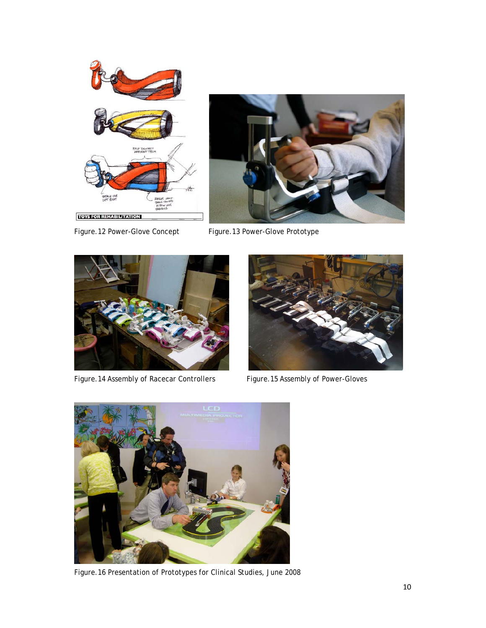

Figure.12 Power-Glove Concept Figure.13 Power-Glove Prototype





Figure.14 Assembly of Racecar Controllers Figure.15 Assembly of Power-Gloves





Figure.16 Presentation of Prototypes for Clinical Studies, June 2008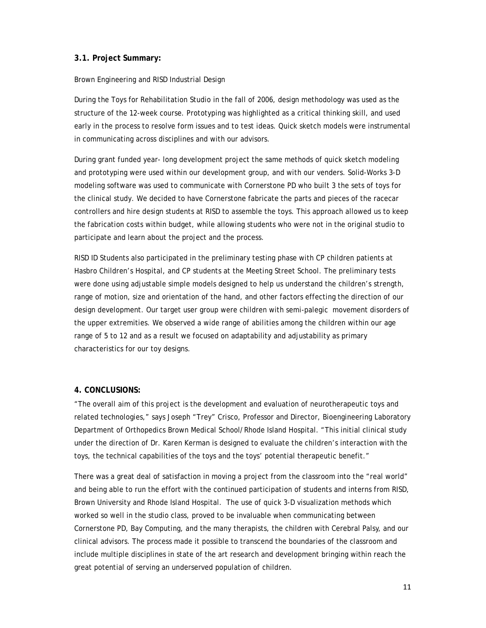## **3.1. Project Summary:**

## Brown Engineering and RISD Industrial Design

During the Toys for Rehabilitation Studio in the fall of 2006, design methodology was used as the structure of the 12-week course. Prototyping was highlighted as a critical thinking skill, and used early in the process to resolve form issues and to test ideas. Quick sketch models were instrumental in communicating across disciplines and with our advisors.

During grant funded year- long development project the same methods of quick sketch modeling and prototyping were used within our development group, and with our venders. Solid-Works 3-D modeling software was used to communicate with Cornerstone PD who built 3 the sets of toys for the clinical study. We decided to have Cornerstone fabricate the parts and pieces of the racecar controllers and hire design students at RISD to assemble the toys. This approach allowed us to keep the fabrication costs within budget, while allowing students who were not in the original studio to participate and learn about the project and the process.

RISD ID Students also participated in the preliminary testing phase with CP children patients at Hasbro Children's Hospital, and CP students at the Meeting Street School. The preliminary tests were done using adjustable simple models designed to help us understand the children's strength, range of motion, size and orientation of the hand, and other factors effecting the direction of our design development. Our target user group were children with semi-palegic movement disorders of the upper extremities. We observed a wide range of abilities among the children within our age range of 5 to 12 and as a result we focused on adaptability and adjustability as primary characteristics for our toy designs.

## **4. CONCLUSIONS:**

"The overall aim of this project is the development and evaluation of neurotherapeutic toys and related technologies," says Joseph "Trey" Crisco, Professor and Director, Bioengineering Laboratory Department of Orthopedics Brown Medical School/Rhode Island Hospital. "This initial clinical study under the direction of Dr. Karen Kerman is designed to evaluate the children's interaction with the toys, the technical capabilities of the toys and the toys' potential therapeutic benefit."

There was a great deal of satisfaction in moving a project from the classroom into the "real world" and being able to run the effort with the continued participation of students and interns from RISD, Brown University and Rhode Island Hospital. The use of quick 3-D visualization methods which worked so well in the studio class, proved to be invaluable when communicating between Cornerstone PD, Bay Computing, and the many therapists, the children with Cerebral Palsy, and our clinical advisors. The process made it possible to transcend the boundaries of the classroom and include multiple disciplines in state of the art research and development bringing within reach the great potential of serving an underserved population of children.